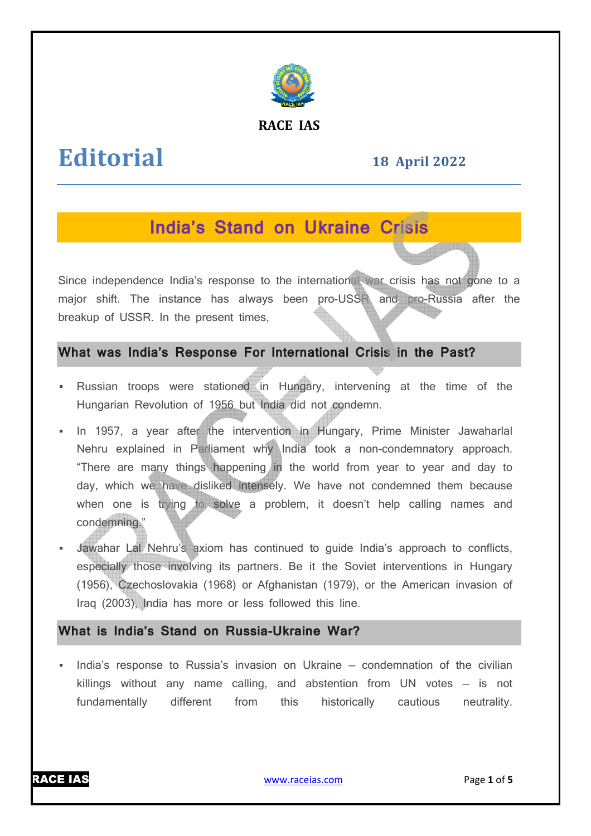

## **RACE IAS**

# **Editorial**

# **18 April April 2022**

# **India's Stand on Ukraine Crisis**

Since independence India's response to the international war crisis has not gone to a Since independence India's response to the international war crisis has not gone to a<br>major shift. The instance has always been pro-USSR and pro-Russia after the breakup of USSR. In the present times,

### **What was India's Response For International Crisis in the Past?**

- Russian troops were stationed in Hungary, intervening at the time of the Hungarian Revolution of 1956 but India did not condemn.
- In 1957, a year after the intervention in Hungary, Prime Minister Jawaharlal Nehru explained in Parliament why India took a non-condemnatory approach. "There are many things happening in the world from year to year and day to day, which we have disliked intensely. We have not condemned them because when one is trying to solve a problem, it doesn't help calling names and condemning." condemnatory approach.<br>
ear to year and day to<br>
indemned them because<br>
ielp calling names and<br>
i's approach to conflicts,<br>
interventions in Hungary<br>
the American invasion of<br>
demnation of the civilian<br>
m UN votes – is not
- Jawahar Lal Nehru's axiom has continued to guide India's approach to conflicts, especially those involving its partners. Be it the Soviet interventions in Hungary (1956), Czechoslovakia (1968) or Afghanistan (1979), or the American invasion of Iraq (2003), India has more or less followed this line.

# **What is India's Stand on Russia Russia-Ukraine War?**

India's response to Russia's invasion on Ukraine - condemnation of the civilian killings without any name calling, and abstention from UN votes  $-$  is not fundamentally different from this historically cautious neutrality neutrality.

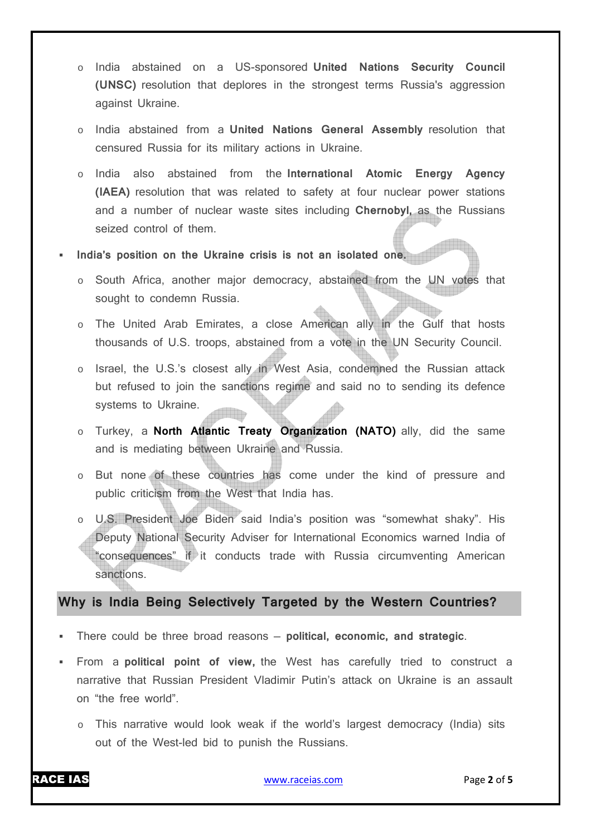- o India abstained on a US-sponsored **United Nations Security Council (UNSC)** resolution that deplores in the strongest terms Russia's aggression against Ukraine.
- o India abstained from a **United Nations General Assembly** resolution that censured Russia for its military actions in Ukraine.
- o India also abstained from the **International Atomic Energy Agency (IAEA)** resolution that was related to safety at four nuclear power stations and a number of nuclear waste sites including **Chernobyl,** as the Russians seized control of them.
- **India's position on the Ukraine crisis is not an isolated one.**
	- o South Africa, another major democracy, abstained from the UN votes that sought to condemn Russia.
	- o The United Arab Emirates, a close American ally in the Gulf that hosts thousands of U.S. troops, abstained from a vote in the UN Security Council.
	- o Israel, the U.S.'s closest ally in West Asia, condemned the Russian attack but refused to join the sanctions regime and said no to sending its defence systems to Ukraine.
	- o Turkey, a **North Atlantic Treaty Organization (NATO)** ally, did the same and is mediating between Ukraine and Russia.
	- o But none of these countries has come under the kind of pressure and public criticism from the West that India has.
	- o U.S. President Joe Biden said India's position was "somewhat shaky". His Deputy National Security Adviser for International Economics warned India of "consequences" if it conducts trade with Russia circumventing American sanctions.

#### **Why is India Being Selectively Targeted by the Western Countries?**

- There could be three broad reasons **political, economic, and strategic**.
- From a **political point of view,** the West has carefully tried to construct a narrative that Russian President Vladimir Putin's attack on Ukraine is an assault on "the free world".
	- o This narrative would look weak if the world's largest democracy (India) sits out of the West-led bid to punish the Russians.

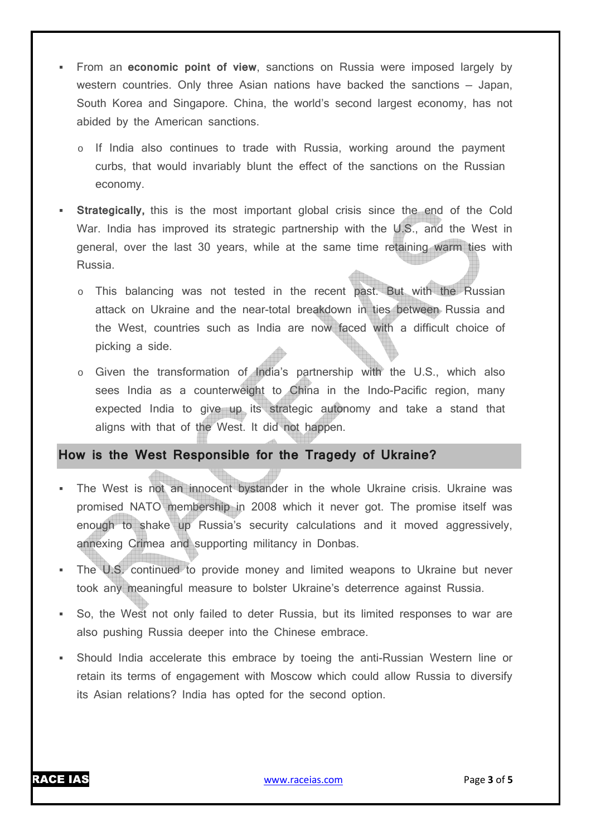- From an **economic point of view**, sanctions on Russia were imposed largely by western countries. Only three Asian nations have backed the sanctions — Japan, South Korea and Singapore. China, the world's second largest economy, has not abided by the American sanctions.
	- o If India also continues to trade with Russia, working around the payment curbs, that would invariably blunt the effect of the sanctions on the Russian economy.
- **Strategically,** this is the most important global crisis since the end of the Cold War. India has improved its strategic partnership with the U.S., and the West in general, over the last 30 years, while at the same time retaining warm ties with Russia.
	- o This balancing was not tested in the recent past. But with the Russian attack on Ukraine and the near-total breakdown in ties between Russia and the West, countries such as India are now faced with a difficult choice of picking a side.
	- o Given the transformation of India's partnership with the U.S., which also sees India as a counterweight to China in the Indo-Pacific region, many expected India to give up its strategic autonomy and take a stand that aligns with that of the West. It did not happen.

#### **How is the West Responsible for the Tragedy of Ukraine?**

- The West is not an innocent bystander in the whole Ukraine crisis. Ukraine was promised NATO membership in 2008 which it never got. The promise itself was enough to shake up Russia's security calculations and it moved aggressively, annexing Crimea and supporting militancy in Donbas.
- The U.S. continued to provide money and limited weapons to Ukraine but never took any meaningful measure to bolster Ukraine's deterrence against Russia.
- So, the West not only failed to deter Russia, but its limited responses to war are also pushing Russia deeper into the Chinese embrace.
- Should India accelerate this embrace by toeing the anti-Russian Western line or retain its terms of engagement with Moscow which could allow Russia to diversify its Asian relations? India has opted for the second option.

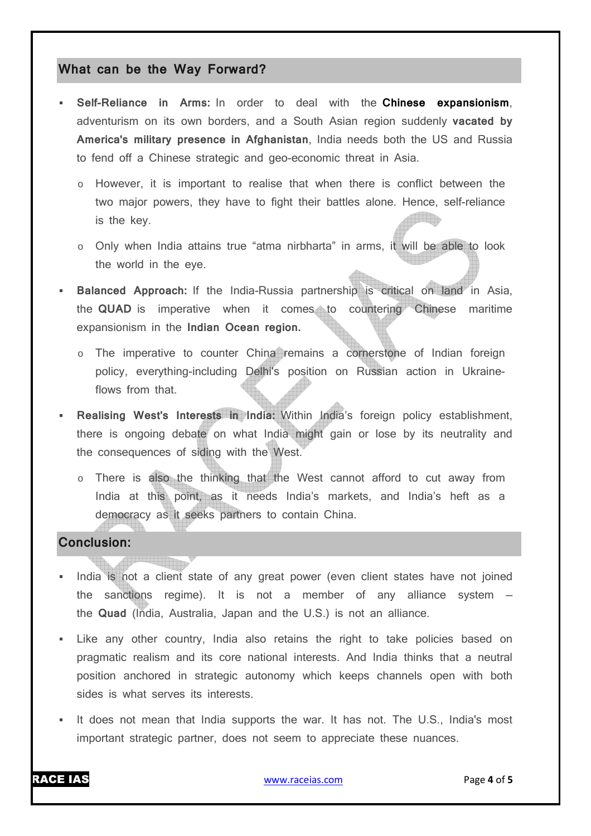#### **What can be the Way Forward?**

- **Self-Reliance in Arms:** In order to deal with the **Chinese expansionism**, adventurism on its own borders, and a South Asian region suddenly **vacated by America's military presence in Afghanistan**, India needs both the US and Russia to fend off a Chinese strategic and geo-economic threat in Asia.
	- $\circ$  However, it is important to realise that when there is conflict between the two major powers, they have to fight their battles alone. Hence, self-reliance is the key.
	- o Only when India attains true "atma nirbharta" in arms, it will be able to look the world in the eye.
- **Balanced Approach:** If the India-Russia partnership is critical on land in Asia, the **QUAD** is imperative when it comes to countering Chinese maritime expansionism in the **Indian Ocean region.**
	- o The imperative to counter China remains a cornerstone of Indian foreign policy, everything-including Delhi's position on Russian action in Ukraineflows from that.
- **Realising West's Interests in India:** Within India's foreign policy establishment, there is ongoing debate on what India might gain or lose by its neutrality and the consequences of siding with the West.
	- o There is also the thinking that the West cannot afford to cut away from India at this point, as it needs India's markets, and India's heft as a democracy as it seeks partners to contain China.

#### **Conclusion:**

- India is not a client state of any great power (even client states have not joined the sanctions regime). It is not a member of any alliance system the **Quad** (India, Australia, Japan and the U.S.) is not an alliance.
- Like any other country, India also retains the right to take policies based on pragmatic realism and its core national interests. And India thinks that a neutral position anchored in strategic autonomy which keeps channels open with both sides is what serves its interests.
- It does not mean that India supports the war. It has not. The U.S., India's most important strategic partner, does not seem to appreciate these nuances.



RACE IAS www.raceias.com Page **4** of **5**